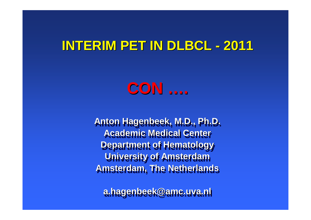#### **INTERIM PET IN DLBCL -<sup>2011</sup>**



**Anton Hagenbeek, M.D., Ph.D.Anton Hagenbeek, M.D., Ph.D. Academic Medical Center Department of Hematology University of Amsterdam University of AmsterdamAmsterdam, The Netherlands Amsterdam, The Netherlands**

**a.hagenbeek@amc.uva.nla.hagenbeek@amc.uva.nl**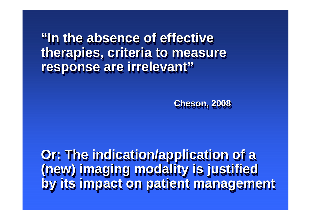**"In the absence of effective "In the absence of effective therapies, criteria to measure therapies, criteria to measure response are irrelevant"response are irrelevant"**

**Cheson, 2008Cheson, 2008**

**Or: The indication/application of a Or: The indication/application of a (new) imaging modality is justified by its impact on patient management(new) imaging modality is justified by its impact on patient management**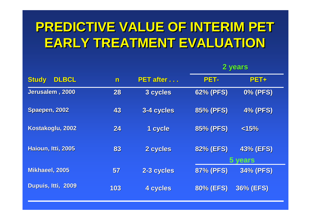# **PREDICTIVE VALUE OF INTERIM PET EARLY TREATMENT EVALUATION**

|                              |                |                   | 2 years          |                             |
|------------------------------|----------------|-------------------|------------------|-----------------------------|
| <b>DLBCL</b><br><b>Study</b> | $\blacksquare$ | <b>PET after </b> | PET-             | <b>PET+</b>                 |
| Jerusalem, 2000              | 28             | 3 cycles          | <b>62% (PFS)</b> | <b>0% (PFS)</b>             |
| Spaepen, 2002                | 43             | 3-4 cycles        | <b>85% (PFS)</b> | <b>4% (PFS)</b>             |
| Kostakoglu, 2002             | 24             | 1 cycle           | <b>85% (PFS)</b> | < 15%                       |
| Haioun, Itti, 2005           | 83             | 2 cycles          | <b>82% (EFS)</b> | <b>43% (EFS)</b><br>5 vears |
| Mikhaeel, 2005               | 57             | 2-3 cycles        | <b>87% (PFS)</b> | <b>34% (PFS)</b>            |
| Dupuis, Itti, 2009           | 103            | 4 cycles          | <b>80% (EFS)</b> | <b>36% (EFS)</b>            |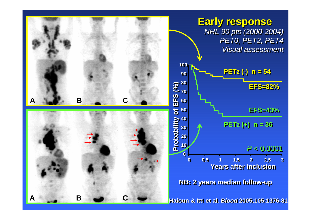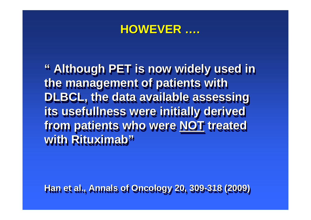## **HOWEVER ….**

**" Although PET is now widely used in " Although PET is now widely used in the management of patients with the management of patients with DLBCL, the data available assessing DLBCL, the data available assessing its usefullness were initially derived its usefullness were initially derived from patients who were NOT treated with Rituximab"with Rituximab"from patients who were NOT treated** 

**Han et al., Annals of Oncology 20, 309-318 (2009)Han et al., Annals of Oncology 20, 309-318 (2009)**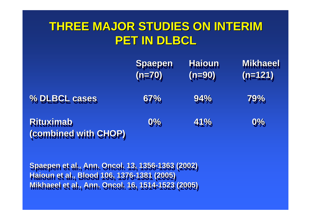## **THREE MAJOR STUDIES ON INTERIMPET IN DLBCL**

|                                          | Spaepen<br>$(n=70)$ | <b>Haioun</b><br>$(n=90)$ | <b>Mikhaeel</b><br>$(n=121)$ |
|------------------------------------------|---------------------|---------------------------|------------------------------|
| % DLBCL cases                            | 67%                 | 94%                       | 79%                          |
| <b>Rituximab</b><br>(combined with CHOP) | 9%                  | 41%                       | $0\%$                        |

**Spaepen et al., Ann. Oncol. 13, 1356-1363 (2002) Haioun et al., Blood 106, 1376-1381 (2005) Mikhaeel et al., Ann. Oncol. 16, 1514-1523 (2005) Mikhaeel et al., Ann. Oncol. 16, 1514-1523 (2005)Spaepen et al., Ann. Oncol. 13, 1356-1363 (2002) Haioun et al., Blood 106, 1376-1381 (2005)**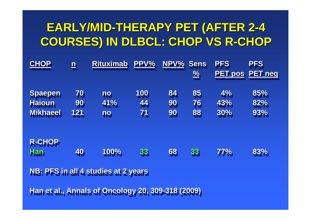## **EARLY/MID-THERAPY PET (AFTER 2-4 COURSES) IN DLBCL: CHOP VS R-CHOP**

| <b>CHOP</b>                         | $\overline{\mathbf{p}}$ | <b>Rituximab</b> | <b>PPV%</b> | NPV% | <b>Sens</b><br>$\frac{9}{6}$ | <b>PFS</b><br><b>PET pos</b> | <b>PFS</b><br><b>PET neg</b> |
|-------------------------------------|-------------------------|------------------|-------------|------|------------------------------|------------------------------|------------------------------|
| <b>Spaepen</b>                      | 79                      | <b>no</b>        | 100         | 84   | 85                           | 4%                           | 85%                          |
| <b>Hajoun</b>                       | 99                      | 41%              | 44          | 99   | 76                           | 43%                          | 82%                          |
| Mikhaeel                            | 121                     | <b>ng</b>        | 71          | 99   | 88                           | 30%                          | 93%                          |
| <b>R-CHOP</b><br><b>FRA</b>         | 49                      | 100%             | 33          | 68   | 33                           | <b>77%</b>                   | 83%                          |
| NB: PFS in all 4 studies at 2 years |                         |                  |             |      |                              |                              |                              |

**Han et al., Annals of Oncology 20, 309-318 (2009)Han et al., Annals of Oncology 20, 309-318 (2009)**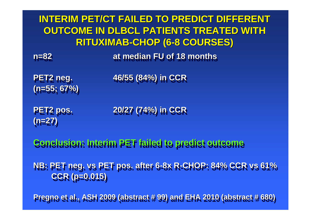**INTERIM PET/CT FAILED TO PREDICT DIFFERENT OUTCOME IN DLBCL PATIENTS TREATED WITH RITUXIMAB-CHOP (6-8 COURSES)**

 **n=82 at median FU of 18 months at median FU of 18 months n=82**

**(n=55; 67%)(n=55; 67%)PET2 neg.**

**PET2 neg. 46/55 (84%) in CCR 46/55 (84%) in CCR**

**(n=27)(n=27)PET2 pos.**

**PET2 pos. 20/27 (74%) in CCR 20/27 (74%) in CCR**

**Conclusion: Interim PET failed to predict outcomeConclusion: Interim PET failed to predict outcome**

**NB: PET neg. vs PET pos. after 6-8x R-CHOP: 84% CCR vs 61% NB: PET neg. vs PET pos. after 6-8x R-CHOP: 84% CCR vs 61% CCR (p=0.015)CCR (p=0.015)**

**Pregno et al., ASH 2009 (abstract # 99) and EHA 2010 (abstract # 680)Pregno et al., ASH 2009 (abstract # 99) and EHA 2010 (abstract # 680)**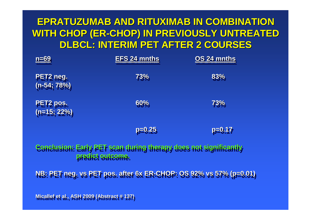### **EPRATUZUMAB AND RITUXIMAB IN COMBINATION WITH CHOP (ER-CHOP) IN PREVIOUSLY UNTREATED DLBCL: INTERIM PET AFTER 2 COURSES**

| $n=69$                                 | <b>EFS 24 mnths</b>                                                                         | <u>OS 24 mnths</u> |
|----------------------------------------|---------------------------------------------------------------------------------------------|--------------------|
| PET <sub>2</sub> neg.<br>$(n-54, 78%)$ | 73%                                                                                         | 83%                |
| PET <sub>2</sub> pos.<br>$(n=15; 22%)$ | 60%                                                                                         | 73%                |
|                                        | <b>D=0.25</b>                                                                               | <b>p=0.17</b>      |
|                                        | Conclusion: Early PET sean during therapy does not significantly<br><b>Predict Sutcome.</b> |                    |
|                                        | NB: PET neg. vs PET pos. after 6x ER-CHOP: 08 92% vs 57% (p=0.01)                           |                    |

**Micallef et al., ASH 2009 (Abstract # 137)Micallef et al., ASH 2009 (Abstract # 137)**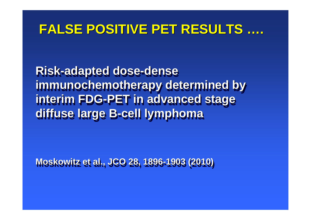## **FALSE POSITIVE PET RESULTS ….**

**Risk-adapted dose-dense Risk-adapted dose-dense immunochemotherapy determined by interim FDG-PET in advanced stage interim FDG-PET in advanced stage diffuse large B-cell lymphoma immunochemotherapy determined by diffuse large B-cell lymphoma**

**Moskowitz et al., JCO 28, 1896-1903 (2010)Moskowitz et al., JCO 28, 1896-1903 (2010)**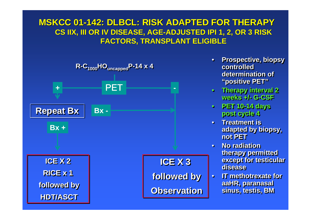### **MSKCC 01-142: DLBCL: RISK ADAPTED FOR THERAPY CS IIX, III OR IV DISEASE, AGE-ADJUSTED IPI 1, 2, OR 3 RISK FACTORS, TRANSPLANT ELIGIBLE**



- • **Prospective, biopsy Prospective, biopsy controlled controlled determination of determination of "positive PET""positive PET"**•
- **Therapy interval 2**  • **Therapy interval 2 weeks +/- G-CSFweeks +/- G-CSF**
- **PET 10-14 days**  • **PET 10-14 days post cycle 4post cycle 4**
- **Treatment is**  • **Treatment is adapted by biopsy, adapted by biopsy, not PETnot PET**
- **No radiation**  • **No radiation therapy permitted therapy permitted except for testicular except for testicular diseasedisease**
- **IT methotrexate for IT methotrexate for**  ••**aaHR, paranasal aaHR, paranasal sinus, testis, BM sinus, testis, BM**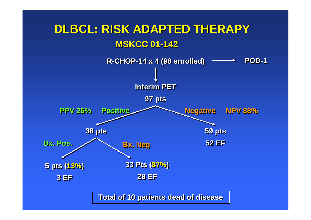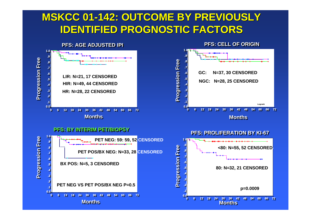### **MSKCC 01-142: OUTCOME BY PREVIOUSLY IDENTIFIED PROGNOSTIC FACTORS**

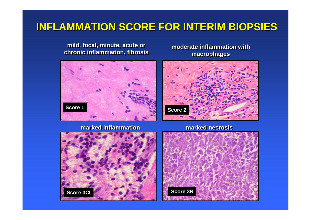### **INFLAMMATION SCORE FOR INTERIM BIOPSIES**

**mild, focal, minute, acute or chronic inflammation, fibrosis**

**moderate inflammation with macrophages**



### **marked inflammation**



**marked necrosis**



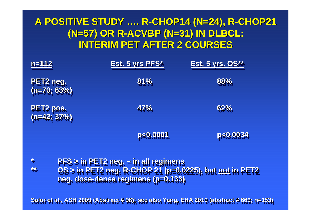### **A POSITIVE STUDY …. R-CHOP14 (N=24), R-CHOP21 (N=57) OR R-ACVBP (N=31) IN DLBCL:INTERIM PET AFTER 2 COURSES**

| $n=112$                                | Est. 5 yrs PFS*                                                                                                                           | <u>Est. 5 yrs. OS**</u> |
|----------------------------------------|-------------------------------------------------------------------------------------------------------------------------------------------|-------------------------|
| PET <sub>2</sub> neg.<br>$(n=70, 63%)$ | 81%                                                                                                                                       | 88%                     |
| <b>PET2 pos.</b><br>$(n=42, 37%)$      | 47%                                                                                                                                       | 62%                     |
|                                        | <b>PEG.0001</b>                                                                                                                           | <b>PEQ.0034</b>         |
| <b>A</b><br>轶                          | $PFS > IN PET2$ neg. $=$ in all regimens<br>0S > in PET2 neg. R-CHOP 21 (p=0.0225), but not in PET2<br>neg. dose-dense regimens (p=0.133) |                         |

**Safar et al., ASH 2009 (Abstract # 98); see also Yang, EHA 2010 (abstract # 669; n=153)Safar et al., ASH 2009 (Abstract # 98); see also Yang, EHA 2010 (abstract # 669; n=153)**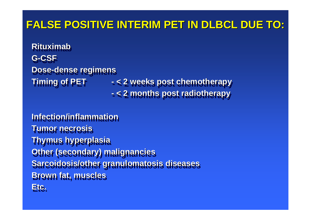### **FALSE POSITIVE INTERIM PET IN DLBCL DUE TO:**

**RituximabRituximabG-CSFG-CSF Dose-dense regimens Dose-dense regimens Timing of PET-**

 **Timing of PET - < 2 weeks post chemotherapy < 2 months post radiotherapy < 2 weeks post chemotherapy< 2 months post radiotherapy**

**Infection/inflammation Tumor necrosisTumor necrosis Thymus hyperplasia Other (secondary) malignancies Sarcoidosis/other granulomatosis diseasesBrown fat, musclesBrown fat, musclesEtc.Etc. Thymus hyperplasia Other (secondary) malignanciesSarcoidosis/other granulomatosis diseases**

**-**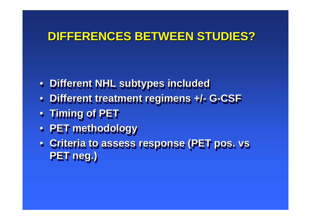### **DIFFERENCES BETWEEN STUDIES?**

- **Different NHL subtypes included Different NHL subtypes included**
- **Different treatment regimens +/- G-CSF** • **Different treatment regimens +/- G-CSF**
- **Timing of PET Timing of PET**
- **PET methodology**• **PET methodology**
- **Criteria to assess response (PET pos. vs PET neg.)PET neg.)**• **Criteria to assess response (PET pos. vs**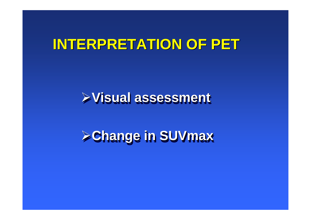## **INTERPRETATION OF PET**

## **Visual assessment**

# **Change in SUVmax Change in SUVmax**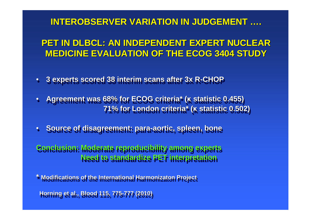### **INTEROBSERVER VARIATION IN JUDGEMENT ….**

### **PET IN DLBCL: AN INDEPENDENT EXPERT NUCLEAR MEDICINE EVALUATION OF THE ECOG 3404 STUDY**

- ••**3 experts scored 38 interim scans after 3x R-CHOP 3 experts scored 38 interim scans after 3x R-CHOP**
- •• **Agreement was 68% for ECOG criteria\* ( κ statistic 0.455) Agreement was 68% for ECOG criteria\* ( κ statistic 0.455) 71% for London criteria\* (κ statistic 0.502) 71% for London criteria\* (κ statistic 0.502)**
- ••**Source of disagreement: para-aortic, spleen, bone Source of disagreement: para-aortic, spleen, bone**

**Conclusion: Moderate reproducibility among expertsConclusion: Moderate reproducibility among expertsNeed to standardize PET interpretation Need to standardize PET interpretation**

**\* Modifications of the International Harmonizaton Project\* Modifications of the International Harmonizaton Project Horning et al., Blood 115, 775-777 (2010)Horning et al., Blood 115, 775-777 (2010)**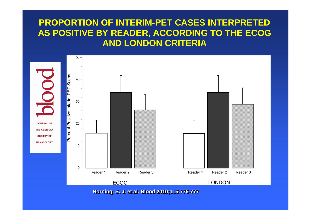### **PROPORTION OF INTERIM-PET CASES INTERPRETED AS POSITIVE BY READER, ACCORDING TO THE ECOG AND LONDON CRITERIA**

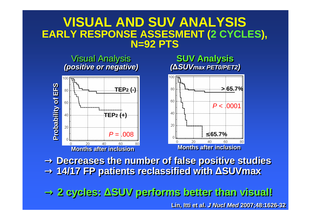### **VISUAL AND SUV ANALYSISEARLY RESPONSE ASSESMENT (2 CYCLES), N=92 PTS**



→ **Decreases the number of false positive studies** → **Decreases the number of false positive studies** → **14/17 FP patients reclassified with ∆SUVmax**→ **14/17 FP patients reclassified with ∆SUVmax**

→ **2 cycles: ∆SUV performs better than visual!**→ **2 cycles: ∆SUV performs better than visual!**

**Lin, Itti et al. J Nucl Med 2007;48:1626-32**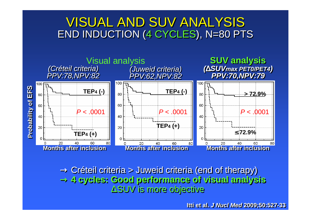## VISUAL AND SUV ANALYSISEND INDUCTION (4 CYCLES), N=80 PTS



 $\rightarrow$  Créteil criteria > Juweid criteria (end of therapy)<br> $\rightarrow$  4 cycles: Good performance of visual analys → **4 cycles: Good performance of visual analysis** → **4 cycles: Good performance of visual analysis** ∆SUV is more objective∆SUV is more objective

**Itti et al. J Nucl Med 2009;50:527-33**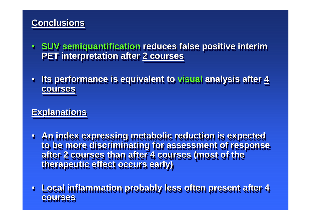### **ConclusionsConclusions**

- • **SUV semiquantification reduces false positive interim SUV semiquantification reduces false positive interim PET interpretation after 2 coursesPET interpretation after 2 courses**•
- • **Its performance is equivalent to visual analysis after 4 Its performance is equivalent to visual analysis after 4 coursescourses**•

### **ExplanationsExplanations**

- **An index expressing metabolic reduction is expected An index expressing metabolic reduction is expected to be more discriminating for assessment of response to be more discriminating for assessment of response after 2 courses than after 4 courses (most of the after 2 courses than after 4 courses (most of the therapeutic effect occurs early)therapeutic effect occurs early)**
- • **Local inflammation probably less often present after 4 Local inflammation probably less often present after 4 coursescourses**•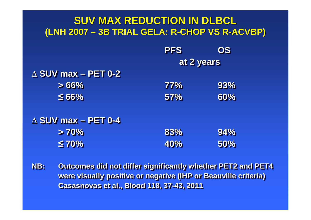#### **SUV MAX REDUCTION IN DLBCL (LNH 2007 –3B TRIAL GELA: R-CHOP VS R-ACVBP)**

|                               | <b>PFS</b> | OS  |
|-------------------------------|------------|-----|
|                               | at 2 years |     |
| $\triangle$ SUV max - PET 0-2 |            |     |
| >66%                          | 77%        | 93% |
| $\leq 66\%$                   | 57%        | 60% |
| $\triangle$ SUV max - PET 0-4 |            |     |
| >70%                          | 83%        | 94% |
| $\leq 70\%$                   | 40%        | 50% |

**NB: Outcomes did not differ significantly whether PET2 and PET4 were visually positive or negative (IHP or Beauville criteria)were visually positive or negative (IHP or Beauville criteria)Casasnovas et al., Blood 118, 37-43, 2011Casasnovas et al., Blood 118, 37-43, 2011NB:**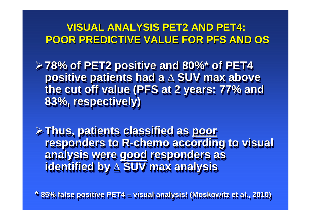### **VISUAL ANALYSIS PET2 AND PET4:POOR PREDICTIVE VALUE FOR PFS AND OS**

**78% of PET2 positive and 80%\* of PET4 78% of PET2 positive and 80%\* of PET4 positive patients had a ∆ SUV max above the cut off value (PFS at 2 years: 77% and 83%, respectively) positive patients had a ∆ SUV max above the cut off value (PFS at 2 years: 77% and 83%, respectively)**

**Thus, patients classified as poor responders to R-chemo according to visual analysis were good responders as identified by ∆ SUV max analysis Thus, patients classified as poor responders to R-chemo according to visual analysis were good responders as identified by ∆ SUV max analysis**

**\* 85% false positive PET4 – visual analysis! (Moskowitz et al., 2010)\* 85% false positive PET4 –visual analysis! (Moskowitz et al., 2010)**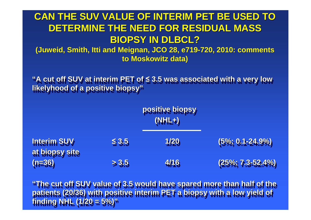### **CAN THE SUV VALUE OF INTERIM PET BE USED TO DETERMINE THE NEED FOR RESIDUAL MASS BIOPSY IN DLBCL?**

 **(Juweid, Smith, Itti and Meignan, JCO 28, e719-720, 2010: comments to Moskowitz data)**

**"A cut off SUV at interim PET of ≤ 3.5 was associated with a very low "A cut off SUV at interim PET of ≤ 3.5 was associated with a very low likelyhood of a positive biopsy"likelyhood of a positive biopsy"**

| <b>Interim SUV</b>         |            | positive biopsy<br>$(NHL+)$ |                        |  |
|----------------------------|------------|-----------------------------|------------------------|--|
|                            | $\leq 3.5$ | 1/20                        | $(5\%, 0.1 - 24.9\%)$  |  |
| at biopsy site<br>$(n=36)$ | > 3.5      | 4/16                        | $(25\%, 7.3 - 52.4\%)$ |  |

**"The cut off SUV value of 3.5 would have spared more than half of the "The cut off SUV value of 3.5 would have spared more than half of the patients (20/36) with positive interim PET a biopsy with a low yield of patients (20/36) with positive interim PET a biopsy with a low yield of finding NHL (1/20 = 5%)"finding NHL (1/20 = 5%)"**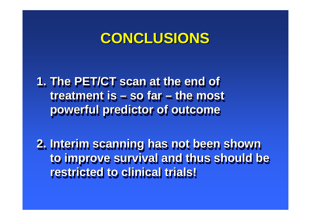## **CONCLUSIONS**

**1. The PET/CT scan at the end of 1. The PET/CT scan at the end of treatment is – so far – the most treatment is –powerful predictor of outcomepowerful predictor of outcome so far –the most** 

**2. Interim scanning has not been shown 2. Interim scanning has not been shown to improve survival and thus should be to improve survival and thus should be restricted to clinical trials!restricted to clinical trials!**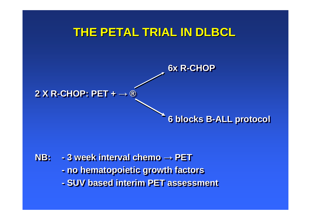

**NB: - 3 week interval chemo → PET no hematopoietic growth factors- SUV based interim PET assessment NB: 3 week interval chemo → PET no hematopoietic growth factors-SUV based interim PET assessment**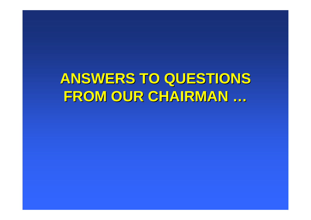# **ANSWERS TO QUESTIONS FROM OUR CHAIRMAN …**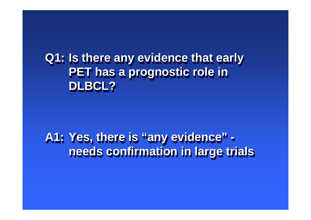**Q1: Is there any evidence that early Q1: Is there any evidence that early PET has a prognostic role in PET has a prognostic role in DLBCL?DLBCL?**

**A1: Yes, there is "any evidence" -A1: Yes, there is "any evidence"needs confirmation in large trials needs confirmation in large trials**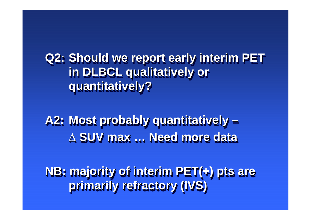**Q2: Should we report early interim PET Q2: Should we report early interim PET in DLBCL qualitatively or in DLBCL qualitatively or quantitatively?quantitatively?**

**A2: Most probably quantitatively –A2: Most probably quantitatively ∆ SUV max … Need more data – ∆ SUV max …Need more data**

**NB: majority of interim PET(+) pts are NB: majority of interim PET(+) pts are primarily refractory (IVS)primarily refractory (IVS)**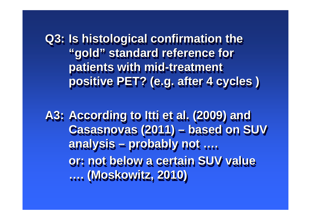**Q3: Is histological confirmation the Q3: Is histological confirmation the "gold" standard reference for "gold" standard reference for patients with mid-treatment patients with mid-treatment positive PET? (e.g. after 4 cycles ) positive PET? (e.g. after 4 cycles )**

**A3: According to Itti et al. (2009) and A3: According to Itti et al. (2009) and Casasnovas (2011) – based on SUV Casasnovas (2011) analysis – probably not …. analysis or: not below a certain SUV value …. (Moskowitz, 2010)…. (Moskowitz, 2010)– based on SUV – probably not ….or: not below a certain SUV value**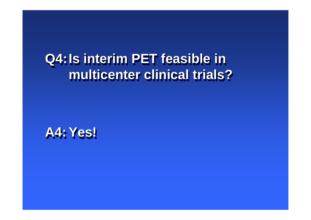### **Q4:Is interim PET feasible in Q4:Is interim PET feasible in multicenter clinical trials?multicenter clinical trials?**

**A4: Yes!A4:Yes!**